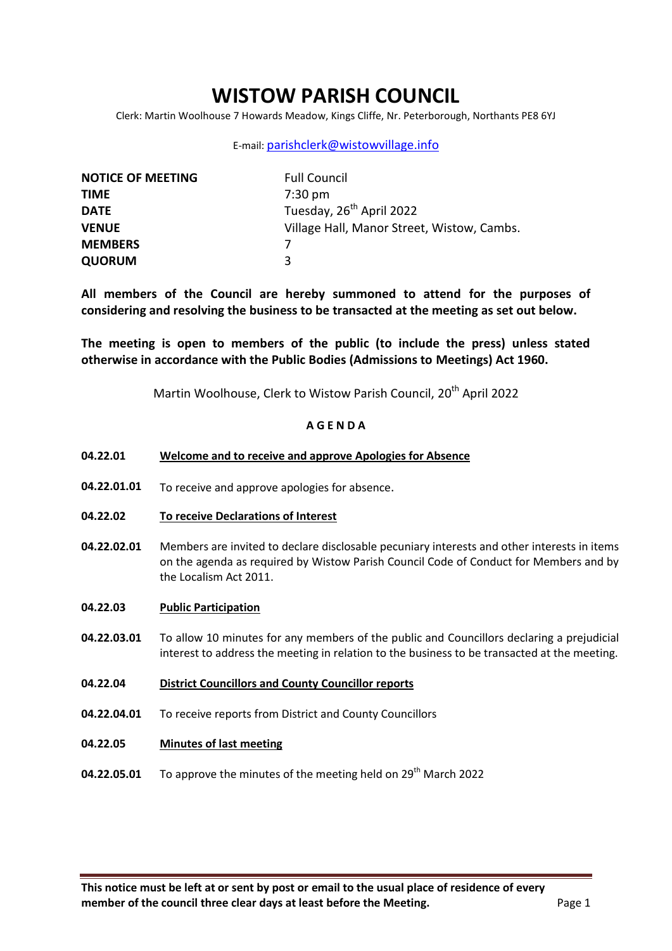# **WISTOW PARISH COUNCIL**

Clerk: Martin Woolhouse 7 Howards Meadow, Kings Cliffe, Nr. Peterborough, Northants PE8 6YJ

### E-mail: [parishclerk@wistowvillage.info](mailto:parishclerk@wistowvillage.info)

| <b>NOTICE OF MEETING</b> | <b>Full Council</b>                        |
|--------------------------|--------------------------------------------|
| <b>TIME</b>              | $7:30 \text{ pm}$                          |
| <b>DATE</b>              | Tuesday, 26 <sup>th</sup> April 2022       |
| <b>VENUE</b>             | Village Hall, Manor Street, Wistow, Cambs. |
| <b>MEMBERS</b>           |                                            |
| <b>QUORUM</b>            | ર                                          |

**All members of the Council are hereby summoned to attend for the purposes of considering and resolving the business to be transacted at the meeting as set out below.** 

**The meeting is open to members of the public (to include the press) unless stated otherwise in accordance with the Public Bodies (Admissions to Meetings) Act 1960.**

Martin Woolhouse, Clerk to Wistow Parish Council, 20<sup>th</sup> April 2022

## **A G E N D A**

- **04.22.01 Welcome and to receive and approve Apologies for Absence**
- **04.22.01.01** To receive and approve apologies for absence.
- **04.22.02 To receive Declarations of Interest**
- **04.22.02.01** Members are invited to declare disclosable pecuniary interests and other interests in items on the agenda as required by Wistow Parish Council Code of Conduct for Members and by the Localism Act 2011.
- **04.22.03 Public Participation**
- **04.22.03.01** To allow 10 minutes for any members of the public and Councillors declaring a prejudicial interest to address the meeting in relation to the business to be transacted at the meeting.
- **04.22.04 District Councillors and County Councillor reports**
- **04.22.04.01** To receive reports from District and County Councillors
- **04.22.05 Minutes of last meeting**
- **04.22.05.01** To approve the minutes of the meeting held on 29<sup>th</sup> March 2022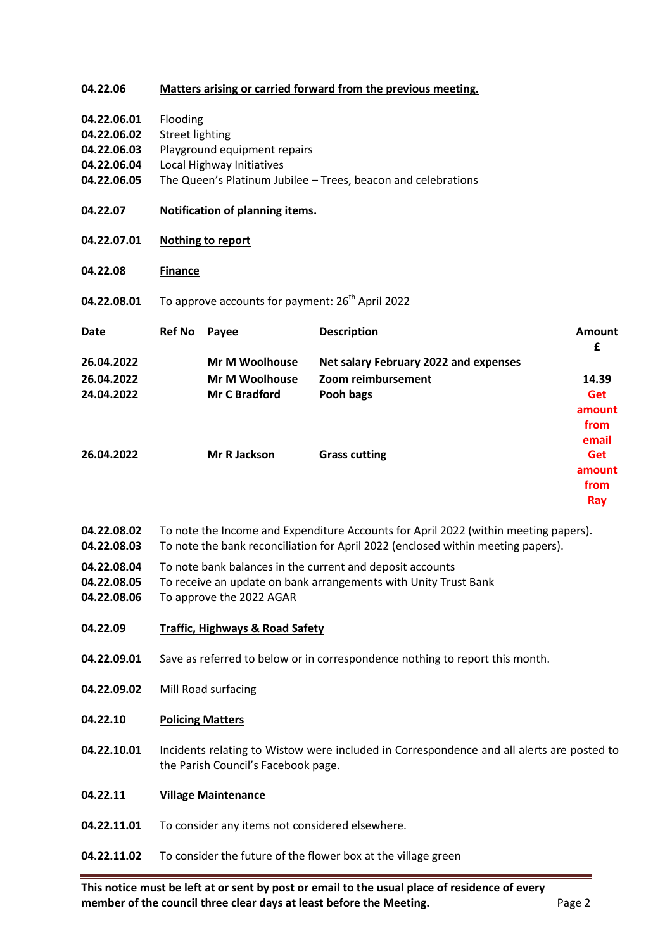### **04.22.06 Matters arising or carried forward from the previous meeting.**

- **04.22.06.01** Flooding
- **04.22.06.02** Street lighting
- **04.22.06.03** Playground equipment repairs
- **04.22.06.04** Local Highway Initiatives
- **04.22.06.05** The Queen's Platinum Jubilee – Trees, beacon and celebrations
- **04.22.07 Notification of planning items.**
- **04.22.07.01 Nothing to report**
- **04.22.08 Finance**
- **04.22.08.01** To approve accounts for payment: 26<sup>th</sup> April 2022

| Date       | <b>Ref No</b> | Payee                 | <b>Description</b>                    | Amount<br>£ |
|------------|---------------|-----------------------|---------------------------------------|-------------|
| 26.04.2022 |               | <b>Mr M Woolhouse</b> | Net salary February 2022 and expenses |             |
| 26.04.2022 |               | <b>Mr M Woolhouse</b> | Zoom reimbursement                    | 14.39       |
| 24.04.2022 |               | <b>Mr C Bradford</b>  | Pooh bags                             | <b>Get</b>  |
|            |               |                       |                                       | amount      |
|            |               |                       |                                       | from        |
|            |               |                       |                                       | email       |
| 26.04.2022 |               | Mr R Jackson          | <b>Grass cutting</b>                  | Get         |
|            |               |                       |                                       | amount      |
|            |               |                       |                                       | from        |
|            |               |                       |                                       | Ray         |

- **04.22.08.02** To note the Income and Expenditure Accounts for April 2022 (within meeting papers).
- **04.22.08.03** To note the bank reconciliation for April 2022 (enclosed within meeting papers).
- **04.22.08.04** To note bank balances in the current and deposit accounts
- **04.22.08.05** To receive an update on bank arrangements with Unity Trust Bank
- **04.22.08.06** To approve the 2022 AGAR
- **04.22.09 Traffic, Highways & Road Safety**
- **04.22.09.01** Save as referred to below or in correspondence nothing to report this month.
- **04.22.09.02** Mill Road surfacing
- **04.22.10 Policing Matters**
- **04.22.10.01** Incidents relating to Wistow were included in Correspondence and all alerts are posted to the Parish Council's Facebook page.

#### **04.22.11 Village Maintenance**

- **04.22.11.01** To consider any items not considered elsewhere.
- **04.22.11.02** To consider the future of the flower box at the village green